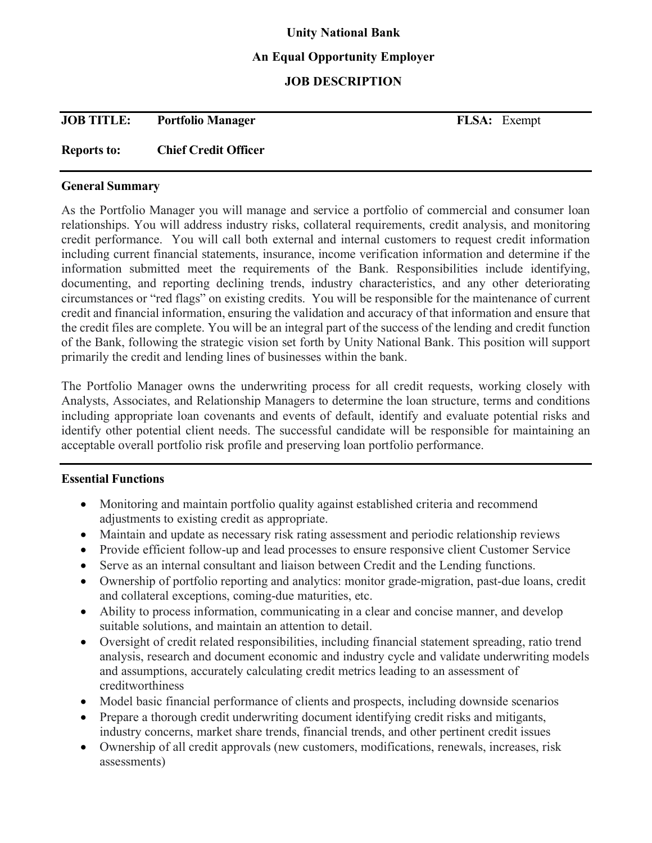## **Unity National Bank**

## **An Equal Opportunity Employer**

## **JOB DESCRIPTION**

| <b>JOB TITLE:</b> | <b>Portfolio Manager</b> | <b>FLSA:</b> Exempt |
|-------------------|--------------------------|---------------------|

## **Reports to: Chief Credit Officer**

#### **General Summary**

As the Portfolio Manager you will manage and service a portfolio of commercial and consumer loan relationships. You will address industry risks, collateral requirements, credit analysis, and monitoring credit performance. You will call both external and internal customers to request credit information including current financial statements, insurance, income verification information and determine if the information submitted meet the requirements of the Bank. Responsibilities include identifying, documenting, and reporting declining trends, industry characteristics, and any other deteriorating circumstances or "red flags" on existing credits. You will be responsible for the maintenance of current credit and financial information, ensuring the validation and accuracy of that information and ensure that the credit files are complete. You will be an integral part of the success of the lending and credit function of the Bank, following the strategic vision set forth by Unity National Bank. This position will support primarily the credit and lending lines of businesses within the bank.

The Portfolio Manager owns the underwriting process for all credit requests, working closely with Analysts, Associates, and Relationship Managers to determine the loan structure, terms and conditions including appropriate loan covenants and events of default, identify and evaluate potential risks and identify other potential client needs. The successful candidate will be responsible for maintaining an acceptable overall portfolio risk profile and preserving loan portfolio performance.

#### **Essential Functions**

- Monitoring and maintain portfolio quality against established criteria and recommend adjustments to existing credit as appropriate.
- Maintain and update as necessary risk rating assessment and periodic relationship reviews
- Provide efficient follow-up and lead processes to ensure responsive client Customer Service
- Serve as an internal consultant and liaison between Credit and the Lending functions.
- Ownership of portfolio reporting and analytics: monitor grade-migration, past-due loans, credit and collateral exceptions, coming-due maturities, etc.
- Ability to process information, communicating in a clear and concise manner, and develop suitable solutions, and maintain an attention to detail.
- Oversight of credit related responsibilities, including financial statement spreading, ratio trend analysis, research and document economic and industry cycle and validate underwriting models and assumptions, accurately calculating credit metrics leading to an assessment of creditworthiness
- Model basic financial performance of clients and prospects, including downside scenarios
- Prepare a thorough credit underwriting document identifying credit risks and mitigants, industry concerns, market share trends, financial trends, and other pertinent credit issues
- Ownership of all credit approvals (new customers, modifications, renewals, increases, risk assessments)